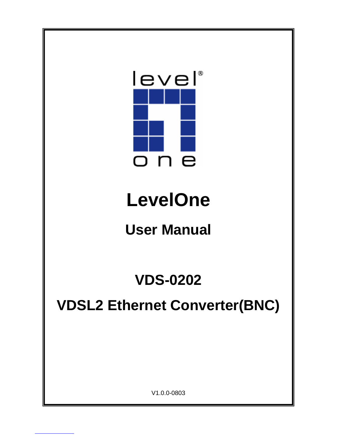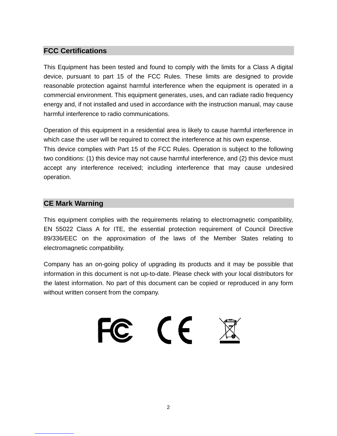#### **FCC Certifications**

This Equipment has been tested and found to comply with the limits for a Class A digital device, pursuant to part 15 of the FCC Rules. These limits are designed to provide reasonable protection against harmful interference when the equipment is operated in a commercial environment. This equipment generates, uses, and can radiate radio frequency energy and, if not installed and used in accordance with the instruction manual, may cause harmful interference to radio communications.

Operation of this equipment in a residential area is likely to cause harmful interference in which case the user will be required to correct the interference at his own expense.

This device complies with Part 15 of the FCC Rules. Operation is subject to the following two conditions: (1) this device may not cause harmful interference, and (2) this device must accept any interference received; including interference that may cause undesired operation.

#### **CE Mark Warning**

This equipment complies with the requirements relating to electromagnetic compatibility, EN 55022 Class A for ITE, the essential protection requirement of Council Directive 89/336/EEC on the approximation of the laws of the Member States relating to electromagnetic compatibility.

Company has an on-going policy of upgrading its products and it may be possible that information in this document is not up-to-date. Please check with your local distributors for the latest information. No part of this document can be copied or reproduced in any form without written consent from the company.

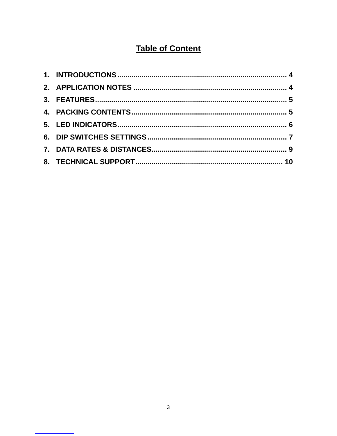# **Table of Content**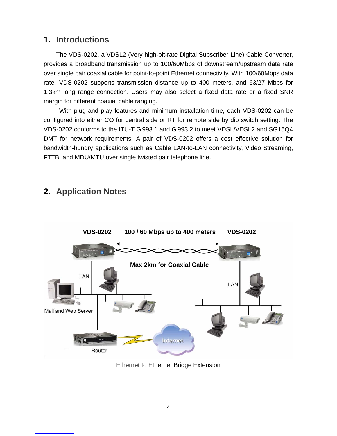### **1. Introductions**

The VDS-0202, a VDSL2 (Very high-bit-rate Digital Subscriber Line) Cable Converter, provides a broadband transmission up to 100/60Mbps of downstream/upstream data rate over single pair coaxial cable for point-to-point Ethernet connectivity. With 100/60Mbps data rate, VDS-0202 supports transmission distance up to 400 meters, and 63/27 Mbps for 1.3km long range connection. Users may also select a fixed data rate or a fixed SNR margin for different coaxial cable ranging.

 With plug and play features and minimum installation time, each VDS-0202 can be configured into either CO for central side or RT for remote side by dip switch setting. The VDS-0202 conforms to the ITU-T G.993.1 and G.993.2 to meet VDSL/VDSL2 and SG15Q4 DMT for network requirements. A pair of VDS-0202 offers a cost effective solution for bandwidth-hungry applications such as Cable LAN-to-LAN connectivity, Video Streaming, FTTB, and MDU/MTU over single twisted pair telephone line.



## **2. Application Notes**

Ethernet to Ethernet Bridge Extension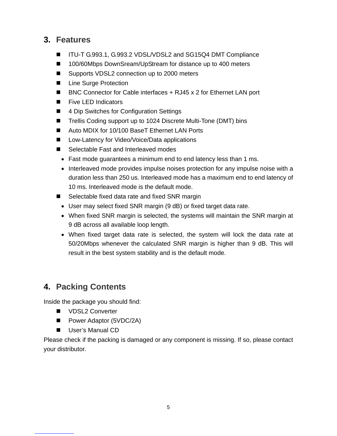### **3. Features**

- ITU-T G.993.1, G.993.2 VDSL/VDSL2 and SG15Q4 DMT Compliance
- 100/60Mbps DownSream/UpStream for distance up to 400 meters
- Supports VDSL2 connection up to 2000 meters
- Line Surge Protection
- BNC Connector for Cable interfaces + RJ45 x 2 for Ethernet LAN port
- **Five LED Indicators**
- 4 Dip Switches for Configuration Settings
- Trellis Coding support up to 1024 Discrete Multi-Tone (DMT) bins
- Auto MDIX for 10/100 BaseT Ethernet LAN Ports
- Low-Latency for Video/Voice/Data applications
- Selectable Fast and Interleaved modes
	- Fast mode guarantees a minimum end to end latency less than 1 ms.
	- Interleaved mode provides impulse noises protection for any impulse noise with a duration less than 250 us. Interleaved mode has a maximum end to end latency of 10 ms. Interleaved mode is the default mode.
- Selectable fixed data rate and fixed SNR margin
	- User may select fixed SNR margin (9 dB) or fixed target data rate.
	- When fixed SNR margin is selected, the systems will maintain the SNR margin at 9 dB across all available loop length.
	- When fixed target data rate is selected, the system will lock the data rate at 50/20Mbps whenever the calculated SNR margin is higher than 9 dB. This will result in the best system stability and is the default mode.

### **4. Packing Contents**

Inside the package you should find:

- VDSL2 Converter
- Power Adaptor (5VDC/2A)
- **User's Manual CD**

Please check if the packing is damaged or any component is missing. If so, please contact your distributor.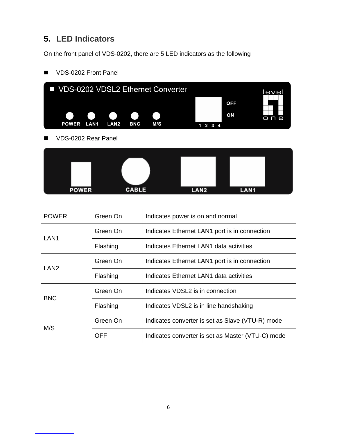## **5. LED Indicators**

On the front panel of VDS-0202, there are 5 LED indicators as the following



#### VDS-0202 Front Panel

VDS-0202 Rear Panel



| <b>POWER</b>     | Green On   | Indicates power is on and normal                  |  |
|------------------|------------|---------------------------------------------------|--|
| LAN <sub>1</sub> | Green On   | Indicates Ethernet LAN1 port is in connection     |  |
|                  | Flashing   | Indicates Ethernet LAN1 data activities           |  |
| LAN <sub>2</sub> | Green On   | Indicates Ethernet LAN1 port is in connection     |  |
|                  | Flashing   | Indicates Ethernet LAN1 data activities           |  |
| <b>BNC</b>       | Green On   | Indicates VDSL2 is in connection                  |  |
|                  | Flashing   | Indicates VDSL2 is in line handshaking            |  |
| M/S              | Green On   | Indicates converter is set as Slave (VTU-R) mode  |  |
|                  | <b>OFF</b> | Indicates converter is set as Master (VTU-C) mode |  |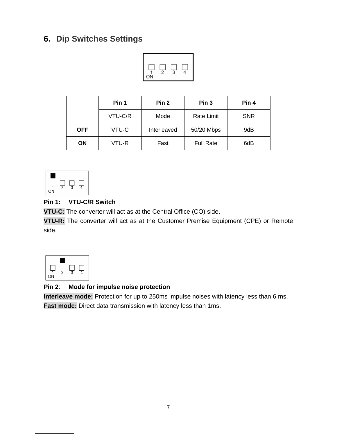## **6. Dip Switches Settings**



|            | Pin 1   | Pin <sub>2</sub> | Pin <sub>3</sub>  | Pin 4      |
|------------|---------|------------------|-------------------|------------|
|            | VTU-C/R | Mode             | <b>Rate Limit</b> | <b>SNR</b> |
| <b>OFF</b> | VTU-C   | Interleaved      | 50/20 Mbps        | 9dB        |
| ΟN         | VTU-R   | Fast             | <b>Full Rate</b>  | 6dB        |



#### **Pin 1: VTU-C/R Switch**

**VTU-C:** The converter will act as at the Central Office (CO) side.

**VTU-R:** The converter will act as at the Customer Premise Equipment (CPE) or Remote side.



#### **Pin 2**: **Mode for impulse noise protection**

**Interleave mode:** Protection for up to 250ms impulse noises with latency less than 6 ms. **Fast mode:** Direct data transmission with latency less than 1ms.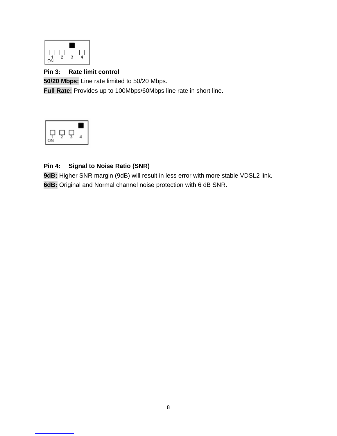

#### **Pin 3: Rate limit control**

**50/20 Mbps:** Line rate limited to 50/20 Mbps.

**Full Rate:** Provides up to 100Mbps/60Mbps line rate in short line.



#### **Pin 4: Signal to Noise Ratio (SNR)**

**9dB:** Higher SNR margin (9dB) will result in less error with more stable VDSL2 link. **6dB:** Original and Normal channel noise protection with 6 dB SNR.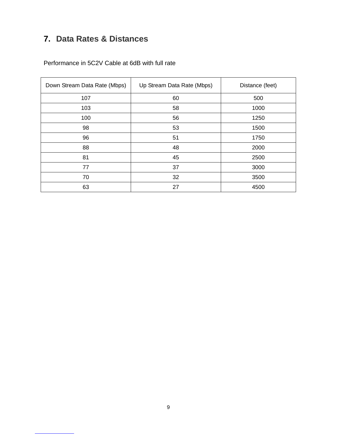# **7. Data Rates & Distances**

Performance in 5C2V Cable at 6dB with full rate

| Down Stream Data Rate (Mbps) | Up Stream Data Rate (Mbps) | Distance (feet) |
|------------------------------|----------------------------|-----------------|
| 107                          | 60                         | 500             |
| 103                          | 58                         | 1000            |
| 100                          | 56                         | 1250            |
| 98                           | 53                         | 1500            |
| 96                           | 51                         | 1750            |
| 88                           | 48                         | 2000            |
| 81                           | 45                         | 2500            |
| 77                           | 37                         | 3000            |
| 70                           | 32                         | 3500            |
| 63                           | 27                         | 4500            |